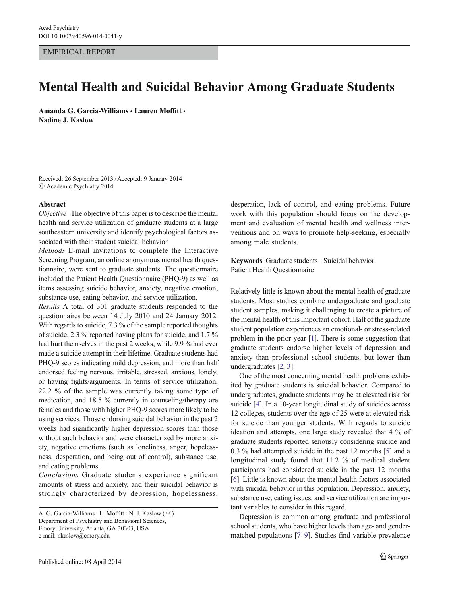## EMPIRICAL REPORT

# Mental Health and Suicidal Behavior Among Graduate Students

Amanda G. Garcia-Williams · Lauren Moffitt · Nadine J. Kaslow

Received: 26 September 2013 /Accepted: 9 January 2014  $\odot$  Academic Psychiatry 2014

#### Abstract

Objective The objective of this paper is to describe the mental health and service utilization of graduate students at a large southeastern university and identify psychological factors associated with their student suicidal behavior.

Methods E-mail invitations to complete the Interactive Screening Program, an online anonymous mental health questionnaire, were sent to graduate students. The questionnaire included the Patient Health Questionnaire (PHQ-9) as well as items assessing suicide behavior, anxiety, negative emotion, substance use, eating behavior, and service utilization.

Results A total of 301 graduate students responded to the questionnaires between 14 July 2010 and 24 January 2012. With regards to suicide, 7.3 % of the sample reported thoughts of suicide, 2.3 % reported having plans for suicide, and 1.7 % had hurt themselves in the past 2 weeks; while 9.9 % had ever made a suicide attempt in their lifetime. Graduate students had PHQ-9 scores indicating mild depression, and more than half endorsed feeling nervous, irritable, stressed, anxious, lonely, or having fights/arguments. In terms of service utilization, 22.2 % of the sample was currently taking some type of medication, and 18.5 % currently in counseling/therapy are females and those with higher PHQ-9 scores more likely to be using services. Those endorsing suicidal behavior in the past 2 weeks had significantly higher depression scores than those without such behavior and were characterized by more anxiety, negative emotions (such as loneliness, anger, hopelessness, desperation, and being out of control), substance use, and eating problems.

Conclusions Graduate students experience significant amounts of stress and anxiety, and their suicidal behavior is strongly characterized by depression, hopelessness, desperation, lack of control, and eating problems. Future work with this population should focus on the development and evaluation of mental health and wellness interventions and on ways to promote help-seeking, especially among male students.

Keywords Graduate students · Suicidal behavior · Patient Health Questionnaire

Relatively little is known about the mental health of graduate students. Most studies combine undergraduate and graduate student samples, making it challenging to create a picture of the mental health of this important cohort. Half of the graduate student population experiences an emotional- or stress-related problem in the prior year [\[1](#page-5-0)]. There is some suggestion that graduate students endorse higher levels of depression and anxiety than professional school students, but lower than undergraduates [[2,](#page-5-0) [3\]](#page-5-0).

One of the most concerning mental health problems exhibited by graduate students is suicidal behavior. Compared to undergraduates, graduate students may be at elevated risk for suicide [\[4](#page-5-0)]. In a 10-year longitudinal study of suicides across 12 colleges, students over the age of 25 were at elevated risk for suicide than younger students. With regards to suicide ideation and attempts, one large study revealed that 4 % of graduate students reported seriously considering suicide and 0.3 % had attempted suicide in the past 12 months [[5\]](#page-5-0) and a longitudinal study found that 11.2 % of medical student participants had considered suicide in the past 12 months [\[6](#page-5-0)]. Little is known about the mental health factors associated with suicidal behavior in this population. Depression, anxiety, substance use, eating issues, and service utilization are important variables to consider in this regard.

Depression is common among graduate and professional school students, who have higher levels than age- and gendermatched populations [\[7](#page-5-0)–[9\]](#page-5-0). Studies find variable prevalence

A. G. Garcia-Williams  $\cdot$  L. Moffitt  $\cdot$  N. J. Kaslow ( $\boxtimes$ ) Department of Psychiatry and Behavioral Sciences, Emory University, Atlanta, GA 30303, USA e-mail: nkaslow@emory.edu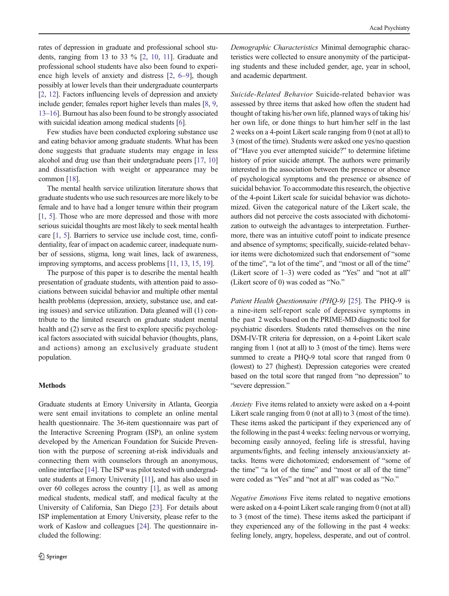rates of depression in graduate and professional school students, ranging from 13 to 33 % [[2,](#page-5-0) [10,](#page-5-0) [11\]](#page-5-0). Graduate and professional school students have also been found to experience high levels of anxiety and distress [[2,](#page-5-0) [6](#page-5-0)–[9](#page-5-0)], though possibly at lower levels than their undergraduate counterparts [\[2](#page-5-0), [12](#page-5-0)]. Factors influencing levels of depression and anxiety include gender; females report higher levels than males [[8,](#page-5-0) [9,](#page-5-0) [13](#page-5-0)–[16](#page-5-0)]. Burnout has also been found to be strongly associated with suicidal ideation among medical students [\[6\]](#page-5-0).

Few studies have been conducted exploring substance use and eating behavior among graduate students. What has been done suggests that graduate students may engage in less alcohol and drug use than their undergraduate peers [\[17,](#page-5-0) [10\]](#page-5-0) and dissatisfaction with weight or appearance may be common [\[18\]](#page-5-0).

The mental health service utilization literature shows that graduate students who use such resources are more likely to be female and to have had a longer tenure within their program [\[1](#page-5-0), [5\]](#page-5-0). Those who are more depressed and those with more serious suicidal thoughts are most likely to seek mental health care [\[1](#page-5-0), [5](#page-5-0)]. Barriers to service use include cost, time, confidentiality, fear of impact on academic career, inadequate number of sessions, stigma, long wait lines, lack of awareness, improving symptoms, and access problems [\[11](#page-5-0), [13](#page-5-0), [15](#page-5-0), [19](#page-5-0)].

The purpose of this paper is to describe the mental health presentation of graduate students, with attention paid to associations between suicidal behavior and multiple other mental health problems (depression, anxiety, substance use, and eating issues) and service utilization. Data gleaned will (1) contribute to the limited research on graduate student mental health and (2) serve as the first to explore specific psychological factors associated with suicidal behavior (thoughts, plans, and actions) among an exclusively graduate student population.

# **Methods**

Graduate students at Emory University in Atlanta, Georgia were sent email invitations to complete an online mental health questionnaire. The 36-item questionnaire was part of the Interactive Screening Program (ISP), an online system developed by the American Foundation for Suicide Prevention with the purpose of screening at-risk individuals and connecting them with counselors through an anonymous, online interface [[14\]](#page-5-0). The ISP was pilot tested with undergraduate students at Emory University [\[11\]](#page-5-0), and has also used in over 60 colleges across the country [\[1\]](#page-5-0), as well as among medical students, medical staff, and medical faculty at the University of California, San Diego [\[23\]](#page-5-0). For details about ISP implementation at Emory University, please refer to the work of Kaslow and colleagues [\[24\]](#page-6-0). The questionnaire included the following:

Demographic Characteristics Minimal demographic characteristics were collected to ensure anonymity of the participating students and these included gender, age, year in school, and academic department.

Suicide-Related Behavior Suicide-related behavior was assessed by three items that asked how often the student had thought of taking his/her own life, planned ways of taking his/ her own life, or done things to hurt him/her self in the last 2 weeks on a 4-point Likert scale ranging from 0 (not at all) to 3 (most of the time). Students were asked one yes/no question of "Have you ever attempted suicide?" to determine lifetime history of prior suicide attempt. The authors were primarily interested in the association between the presence or absence of psychological symptoms and the presence or absence of suicidal behavior. To accommodate this research, the objective of the 4-point Likert scale for suicidal behavior was dichotomized. Given the categorical nature of the Likert scale, the authors did not perceive the costs associated with dichotomization to outweigh the advantages to interpretation. Furthermore, there was an intuitive cutoff point to indicate presence and absence of symptoms; specifically, suicide-related behavior items were dichotomized such that endorsement of "some of the time", "a lot of the time", and "most or all of the time" (Likert score of 1–3) were coded as "Yes" and "not at all" (Likert score of 0) was coded as "No."

Patient Health Questionnaire (PHQ-9) [\[25](#page-6-0)]. The PHQ-9 is a nine-item self-report scale of depressive symptoms in the past 2 weeks based on the PRIME-MD diagnostic tool for psychiatric disorders. Students rated themselves on the nine DSM-IV-TR criteria for depression, on a 4-point Likert scale ranging from 1 (not at all) to 3 (most of the time). Items were summed to create a PHQ-9 total score that ranged from 0 (lowest) to 27 (highest). Depression categories were created based on the total score that ranged from "no depression" to "severe depression."

Anxiety Five items related to anxiety were asked on a 4-point Likert scale ranging from 0 (not at all) to 3 (most of the time). These items asked the participant if they experienced any of the following in the past 4 weeks: feeling nervous or worrying, becoming easily annoyed, feeling life is stressful, having arguments/fights, and feeling intensely anxious/anxiety attacks. Items were dichotomized; endorsement of "some of the time" "a lot of the time" and "most or all of the time" were coded as "Yes" and "not at all" was coded as "No."

Negative Emotions Five items related to negative emotions were asked on a 4-point Likert scale ranging from 0 (not at all) to 3 (most of the time). These items asked the participant if they experienced any of the following in the past 4 weeks: feeling lonely, angry, hopeless, desperate, and out of control.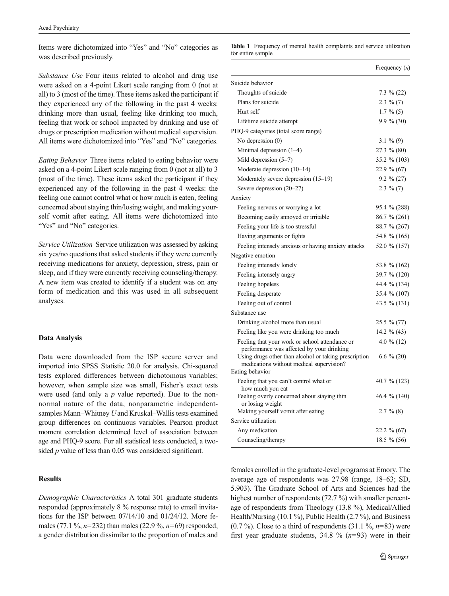<span id="page-2-0"></span>Items were dichotomized into "Yes" and "No" categories as was described previously.

Substance Use Four items related to alcohol and drug use were asked on a 4-point Likert scale ranging from 0 (not at all) to 3 (most of the time). These items asked the participant if they experienced any of the following in the past 4 weeks: drinking more than usual, feeling like drinking too much, feeling that work or school impacted by drinking and use of drugs or prescription medication without medical supervision. All items were dichotomized into "Yes" and "No" categories.

Eating Behavior Three items related to eating behavior were asked on a 4-point Likert scale ranging from 0 (not at all) to 3 (most of the time). These items asked the participant if they experienced any of the following in the past 4 weeks: the feeling one cannot control what or how much is eaten, feeling concerned about staying thin/losing weight, and making yourself vomit after eating. All items were dichotomized into "Yes" and "No" categories.

Service Utilization Service utilization was assessed by asking six yes/no questions that asked students if they were currently receiving medications for anxiety, depression, stress, pain or sleep, and if they were currently receiving counseling/therapy. A new item was created to identify if a student was on any form of medication and this was used in all subsequent analyses.

# Data Analysis

Data were downloaded from the ISP secure server and imported into SPSS Statistic 20.0 for analysis. Chi-squared tests explored differences between dichotomous variables; however, when sample size was small, Fisher's exact tests were used (and only a  $p$  value reported). Due to the nonnormal nature of the data, nonparametric independentsamples Mann–Whitney U and Kruskal–Wallis tests examined group differences on continuous variables. Pearson product moment correlation determined level of association between age and PHQ-9 score. For all statistical tests conducted, a twosided *p* value of less than 0.05 was considered significant.

# **Results**

Demographic Characteristics A total 301 graduate students responded (approximately 8 % response rate) to email invitations for the ISP between 07/14/10 and 01/24/12. More females (77.1 %,  $n=232$ ) than males (22.9 %,  $n=69$ ) responded, a gender distribution dissimilar to the proportion of males and Table 1 Frequency of mental health complaints and service utilization for entire sample

|                                                                                                                                                | Frequency $(n)$ |
|------------------------------------------------------------------------------------------------------------------------------------------------|-----------------|
| Suicide behavior                                                                                                                               |                 |
| Thoughts of suicide                                                                                                                            | $7.3 \% (22)$   |
| Plans for suicide                                                                                                                              | $2.3 \% (7)$    |
| Hurt self                                                                                                                                      | $1.7\%$ (5)     |
| Lifetime suicide attempt                                                                                                                       | 9.9 % (30)      |
| PHQ-9 categories (total score range)                                                                                                           |                 |
| No depression $(0)$                                                                                                                            | $3.1\%$ (9)     |
| Minimal depression $(1-4)$                                                                                                                     | 27.3 % (80)     |
| Mild depression $(5-7)$                                                                                                                        | 35.2 % (103)    |
| Moderate depression $(10-14)$                                                                                                                  | 22.9 % (67)     |
| Moderately severe depression $(15-19)$                                                                                                         | 9.2 % (27)      |
| Severe depression (20-27)                                                                                                                      | $2.3 \% (7)$    |
| Anxiety                                                                                                                                        |                 |
| Feeling nervous or worrying a lot                                                                                                              | 95.4 % (288)    |
| Becoming easily annoyed or irritable                                                                                                           | 86.7 % (261)    |
| Feeling your life is too stressful                                                                                                             | 88.7 % (267)    |
| Having arguments or fights                                                                                                                     | 54.8 % (165)    |
| Feeling intensely anxious or having anxiety attacks                                                                                            | 52.0 % (157)    |
| Negative emotion                                                                                                                               |                 |
| Feeling intensely lonely                                                                                                                       | 53.8 % (162)    |
| Feeling intensely angry                                                                                                                        | 39.7 % (120)    |
| Feeling hopeless                                                                                                                               | 44.4 % (134)    |
| Feeling desperate                                                                                                                              | 35.4 % (107)    |
| Feeling out of control                                                                                                                         | 43.5 % (131)    |
| Substance use                                                                                                                                  |                 |
| Drinking alcohol more than usual                                                                                                               | 25.5 % (77)     |
| Feeling like you were drinking too much                                                                                                        | 14.2 % (43)     |
| Feeling that your work or school attendance or                                                                                                 | 4.0 % (12)      |
| performance was affected by your drinking<br>Using drugs other than alcohol or taking prescription<br>medications without medical supervision? | $6.6\%$ (20)    |
| Eating behavior                                                                                                                                |                 |
| Feeling that you can't control what or<br>how much you eat                                                                                     | 40.7 % (123)    |
| Feeling overly concerned about staying thin<br>or losing weight                                                                                | 46.4 % (140)    |
| Making yourself vomit after eating                                                                                                             | $2.7\%$ (8)     |
| Service utilization                                                                                                                            |                 |
| Any medication                                                                                                                                 | 22.2 % (67)     |
| Counseling/therapy                                                                                                                             | 18.5 % (56)     |

females enrolled in the graduate-level programs at Emory. The average age of respondents was 27.98 (range, 18–63; SD, 5.903). The Graduate School of Arts and Sciences had the highest number of respondents (72.7 %) with smaller percentage of respondents from Theology (13.8 %), Medical/Allied Health/Nursing (10.1 %), Public Health (2.7 %), and Business  $(0.7 \%)$ . Close to a third of respondents  $(31.1 \%, n=83)$  were first year graduate students, 34.8 %  $(n=93)$  were in their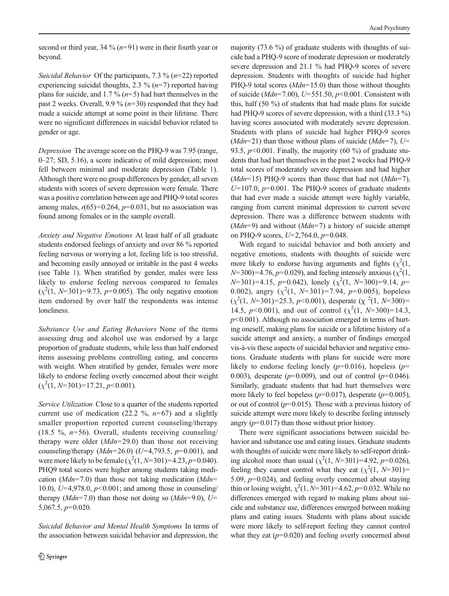second or third year,  $34\%$  ( $n=91$ ) were in their fourth year or beyond.

Suicidal Behavior Of the participants, 7.3 %  $(n=22)$  reported experiencing suicidal thoughts, 2.3 %  $(n=7)$  reported having plans for suicide, and 1.7 %  $(n=5)$  had hurt themselves in the past 2 weeks. Overall, 9.9 %  $(n=30)$  responded that they had made a suicide attempt at some point in their lifetime. There were no significant differences in suicidal behavior related to gender or age.

Depression The average score on the PHQ-9 was 7.95 (range, 0–27; SD, 5.16), a score indicative of mild depression; most fell between minimal and moderate depression (Table [1](#page-2-0)). Although there were no group differences by gender, all seven students with scores of severe depression were female. There was a positive correlation between age and PHQ-9 total scores among males,  $r(65)=0.264$ ,  $p=0.031$ , but no association was found among females or in the sample overall.

Anxiety and Negative Emotions At least half of all graduate students endorsed feelings of anxiety and over 86 % reported feeling nervous or worrying a lot, feeling life is too stressful, and becoming easily annoyed or irritable in the past 4 weeks (see Table [1\)](#page-2-0). When stratified by gender, males were less likely to endorse feeling nervous compared to females  $(\chi^2(1, N=301)=9.73, p=0.005)$ . The only negative emotion item endorsed by over half the respondents was intense loneliness.

Substance Use and Eating Behaviors None of the items assessing drug and alcohol use was endorsed by a large proportion of graduate students, while less than half endorsed items assessing problems controlling eating, and concerns with weight. When stratified by gender, females were more likely to endorse feeling overly concerned about their weight  $(\chi^2(1, N=301)=17.21, p<0.001).$ 

Service Utilization Close to a quarter of the students reported current use of medication (22.2 %,  $n=67$ ) and a slightly smaller proportion reported current counseling/therapy (18.5 %,  $n=56$ ). Overall, students receiving counseling/ therapy were older  $(Mdn=29.0)$  than those not receiving counseling/therapy  $(Mdn=26.0)$  (U=4,793.5, p=0.001), and were more likely to be female  $(\chi^2(1, N=301)=4.23, p=0.040)$ . PHQ9 total scores were higher among students taking medication ( $Mdn=7.0$ ) than those not taking medication ( $Mdn=$ 10.0),  $U=4.978.0, p<0.001$ ; and among those in counseling/ therapy ( $Mdn=7.0$ ) than those not doing so ( $Mdn=9.0$ ), U= 5,067.5, p=0.020.

Suicidal Behavior and Mental Health Symptoms In terms of the association between suicidal behavior and depression, the

majority (73.6 %) of graduate students with thoughts of suicide had a PHQ-9 score of moderate depression or moderately severe depression and 21.1 % had PHQ-9 scores of severe depression. Students with thoughts of suicide had higher PHQ-9 total scores  $(Mdn=15.0)$  than those without thoughts of suicide ( $Mdn=7.00$ ),  $U=551.50$ ,  $p<0.001$ . Consistent with this, half (50 %) of students that had made plans for suicide had PHQ-9 scores of severe depression, with a third (33.3 %) having scores associated with moderately severe depression. Students with plans of suicide had higher PHQ-9 scores (*Mdn*=21) than those without plans of suicide (*Mdn*=7),  $U=$ 93.5,  $p<0.001$ . Finally, the majority (60 %) of graduate students that had hurt themselves in the past 2 weeks had PHQ-9 total scores of moderately severe depression and had higher ( $Mdn=15$ ) PHO-9 scores than those that had not ( $Mdn=7$ ),  $U=107.0$ ,  $p=0.001$ . The PHQ-9 scores of graduate students that had ever made a suicide attempt were highly variable, ranging from current minimal depression to current severe depression. There was a difference between students with  $(Mdn=9)$  and without  $(Mdn=7)$  a history of suicide attempt on PHQ-9 scores,  $U=2,764.0, p=0.048$ .

With regard to suicidal behavior and both anxiety and negative emotions, students with thoughts of suicide were more likely to endorse having arguments and fights  $(\chi^2(1,$  $N=300$ )=4.76,  $p=0.029$ ), and feeling intensely anxious ( $\chi^2(1, 1)$  $N=301$ )=4.15,  $p=0.042$ ), lonely  $(\chi^2(1, N=300)=9.14, p=$ 0.002), angry  $(\chi^2(1, N=301)=7.94, p=0.005)$ , hopeless  $(\chi^2(1, N=301)=25.3, p<0.001)$ , desperate  $(\chi^2(1, N=300)=$ 14.5,  $p<0.001$ ), and out of control  $(\chi^2(1, N=300)=14.3,$  $p<0.001$ ). Although no association emerged in terms of hurting oneself, making plans for suicide or a lifetime history of a suicide attempt and anxiety, a number of findings emerged vis-à-vis these aspects of suicidal behavior and negative emotions. Graduate students with plans for suicide were more likely to endorse feeling lonely ( $p=0.016$ ), hopeless ( $p=$ 0.003), desperate ( $p=0.009$ ), and out of control ( $p=0.046$ ). Similarly, graduate students that had hurt themselves were more likely to feel hopeless ( $p=0.017$ ), desperate ( $p=0.005$ ), or out of control ( $p=0.015$ ). Those with a previous history of suicide attempt were more likely to describe feeling intensely angry  $(p=0.017)$  than those without prior history.

There were significant associations between suicidal behavior and substance use and eating issues. Graduate students with thoughts of suicide were more likely to self-report drinking alcohol more than usual  $(\chi^2(1, N=301)=4.92, p=0.026)$ , feeling they cannot control what they eat  $(\chi^2(1, N=301))$ = 5.09,  $p=0.024$ ), and feeling overly concerned about staying thin or losing weight,  $\chi^2(1, N=301)=4.62, p=0.032$ . While no differences emerged with regard to making plans about suicide and substance use, differences emerged between making plans and eating issues. Students with plans about suicide were more likely to self-report feeling they cannot control what they eat  $(p=0.020)$  and feeling overly concerned about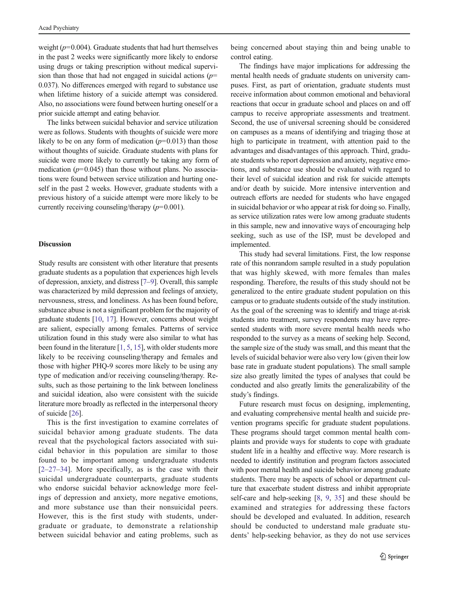weight ( $p=0.004$ ). Graduate students that had hurt themselves in the past 2 weeks were significantly more likely to endorse using drugs or taking prescription without medical supervision than those that had not engaged in suicidal actions  $(p=$ 0.037). No differences emerged with regard to substance use when lifetime history of a suicide attempt was considered. Also, no associations were found between hurting oneself or a prior suicide attempt and eating behavior.

The links between suicidal behavior and service utilization were as follows. Students with thoughts of suicide were more likely to be on any form of medication  $(p=0.013)$  than those without thoughts of suicide. Graduate students with plans for suicide were more likely to currently be taking any form of medication  $(p=0.045)$  than those without plans. No associations were found between service utilization and hurting oneself in the past 2 weeks. However, graduate students with a previous history of a suicide attempt were more likely to be currently receiving counseling/therapy  $(p=0.001)$ .

### **Discussion**

Study results are consistent with other literature that presents graduate students as a population that experiences high levels of depression, anxiety, and distress [[7](#page-5-0)–[9](#page-5-0)]. Overall, this sample was characterized by mild depression and feelings of anxiety, nervousness, stress, and loneliness. As has been found before, substance abuse is not a significant problem for the majority of graduate students [\[10](#page-5-0), [17\]](#page-5-0). However, concerns about weight are salient, especially among females. Patterns of service utilization found in this study were also similar to what has been found in the literature [[1, 5,](#page-5-0) [15](#page-6-0)], with older students more likely to be receiving counseling/therapy and females and those with higher PHQ-9 scores more likely to be using any type of medication and/or receiving counseling/therapy. Results, such as those pertaining to the link between loneliness and suicidal ideation, also were consistent with the suicide literature more broadly as reflected in the interpersonal theory of suicide [[26\]](#page-6-0).

This is the first investigation to examine correlates of suicidal behavior among graduate students. The data reveal that the psychological factors associated with suicidal behavior in this population are similar to those found to be important among undergraduate students  $[2-27-34]$  $[2-27-34]$  $[2-27-34]$  $[2-27-34]$  $[2-27-34]$ . More specifically, as is the case with their suicidal undergraduate counterparts, graduate students who endorse suicidal behavior acknowledge more feelings of depression and anxiety, more negative emotions, and more substance use than their nonsuicidal peers. However, this is the first study with students, undergraduate or graduate, to demonstrate a relationship between suicidal behavior and eating problems, such as

being concerned about staying thin and being unable to control eating.

The findings have major implications for addressing the mental health needs of graduate students on university campuses. First, as part of orientation, graduate students must receive information about common emotional and behavioral reactions that occur in graduate school and places on and off campus to receive appropriate assessments and treatment. Second, the use of universal screening should be considered on campuses as a means of identifying and triaging those at high to participate in treatment, with attention paid to the advantages and disadvantages of this approach. Third, graduate students who report depression and anxiety, negative emotions, and substance use should be evaluated with regard to their level of suicidal ideation and risk for suicide attempts and/or death by suicide. More intensive intervention and outreach efforts are needed for students who have engaged in suicidal behavior or who appear at risk for doing so. Finally, as service utilization rates were low among graduate students in this sample, new and innovative ways of encouraging help seeking, such as use of the ISP, must be developed and implemented.

This study had several limitations. First, the low response rate of this nonrandom sample resulted in a study population that was highly skewed, with more females than males responding. Therefore, the results of this study should not be generalized to the entire graduate student population on this campus or to graduate students outside of the study institution. As the goal of the screening was to identify and triage at-risk students into treatment, survey respondents may have represented students with more severe mental health needs who responded to the survey as a means of seeking help. Second, the sample size of the study was small, and this meant that the levels of suicidal behavior were also very low (given their low base rate in graduate student populations). The small sample size also greatly limited the types of analyses that could be conducted and also greatly limits the generalizability of the study's findings.

Future research must focus on designing, implementing, and evaluating comprehensive mental health and suicide prevention programs specific for graduate student populations. These programs should target common mental health complaints and provide ways for students to cope with graduate student life in a healthy and effective way. More research is needed to identify institution and program factors associated with poor mental health and suicide behavior among graduate students. There may be aspects of school or department culture that exacerbate student distress and inhibit appropriate self-care and help-seeking [\[8](#page-5-0), [9](#page-5-0), [35\]](#page-6-0) and these should be examined and strategies for addressing these factors should be developed and evaluated. In addition, research should be conducted to understand male graduate students' help-seeking behavior, as they do not use services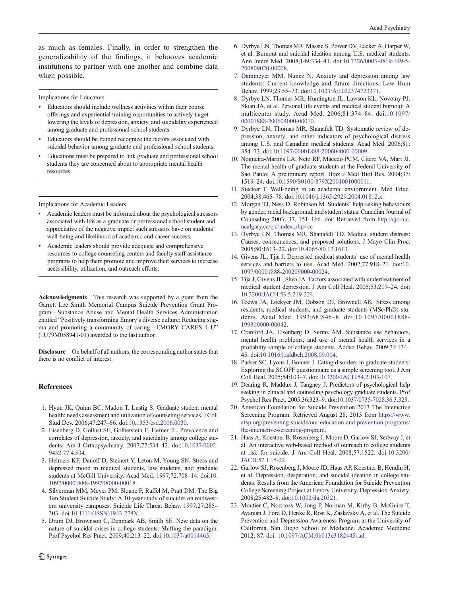<span id="page-5-0"></span>as much as females. Finally, in order to strengthen the generalizability of the findings, it behooves academic institutions to partner with one another and combine data when possible.

Implications for Educators

- Educators should include wellness activities within their course offerings and experiential training opportunities to actively target lowering the levels of depression, anxiety, and suicidality experienced among graduate and professional school students.
- Educators should be trained recognize the factors associated with suicidal behavior among graduate and professional school students.
- & Educations must be prepared to link graduate and professional school students they are concerned about to appropriate mental health resources.

Implications for Academic Leaders

- & Academic leaders must be informed about the psychological stressors associated with life as a graduate or professional school student and appreciative of the negative impact such stressors have on students' well-being and likelihood of academic and career success.
- & Academic leaders should provide adequate and comprehensive resources to college counseling centers and faculty staff assistance programs to help them promote and improve their services to increase accessibility, utilization, and outreach efforts.

Acknowledgments This research was supported by a grant from the Garrett Lee Smith Memorial Campus Suicide Prevention Grant Program—Substance Abuse and Mental Health Services Administration entitled "Positively transforming Emory's diverse culture: Reducing stigma and promoting a community of caring—EMORY CARES 4 U" (1U79M058941-01) awarded to the last author.

Disclosure On behalf of all authors, the corresponding author states that there is no conflict of interest.

#### References

- 1. Hyun JK, Quinn BC, Madon T, Lustig S. Graduate student mental health: needs assessment and utilization of counseling services. J Coll Stud Dev. 2006;47:247–66. doi:10.1353/csd.2006.0030.
- 2. Eisenberg D, Gollust SE, Golberstein E, Hefner JL. Prevalence and correlates of depression, anxiety, and suicidality among college students. Am J Orthopsychiatry. 2007;77:534–42. doi:10.1037/0002- 9432.77.4.534.
- 3. Helmers KF, Danoff D, Steinert Y, Leton M, Young SN. Stress and depressed mood in medical students, law students, and graduate students at McGill University. Acad Med. 1997;72:708–14. doi:10. 1097/00001888-199708000-00018.
- 4. Silverman MM, Meyer PM, Sloane F, Raffel M, Pratt DM. The Big Ten Student Suicide Study: A 10-year study of suicides on midwestern university campuses. Suicide Life Threat Behav. 1997;27:285– 303. doi:10.1111/(ISSN)1943-278X.
- 5. Drum DJ, Brownson C, Denmark AB, Smith SE. New data on the nature of suicidal crises in college students: Shifting the paradigm. Prof Psychol Res Pract. 2009;40:213–22. doi:10.1037/a0014465.
- 6. Dyrbye LN, Thomas MR, Massie S, Power DV, Eacker A, Harper W, et al. Burnout and suicidal ideation among U.S. medical students. Ann Intern Med. 2008;149:334–41. doi:10.7326/0003-4819-149-5- 200809020-00008.
- 7. Dammeyer MM, Nunez N. Anxiety and depression among law students: Current knowledge and future directions. Law Hum Behav. 1999;23:55–73. doi:10.1023/A:1022374723371.
- 8. Dyrbye LN, Thomas MR, Huntington JL, Lawson KL, Novotny PJ, Sloan JA, et al. Personal life events and medical student burnout: A multicenter study. Acad Med. 2006;81:374–84. doi:10.1097/ 00001888-200604000-00010.
- 9. Dyrbye LN, Thomas MR, Shanafelt TD. Systematic review of depression, anxiety, and other indicators of psychological distress among U.S. and Canadian medical students. Acad Med. 2006;81: 354–73. doi:10.1097/00001888-200604000-00009.
- 10. Nogueira-Martins LA, Neto RF, Macedo PCM, Cítero VA, Mari JJ. The mental health of graduate students at the Federal University of Sao Paulo: A preliminary report. Braz J Med Biol Res. 2004;37: 1519–24. doi:10.1590/S0100-879X2004001000011.
- 11. Stecker T. Well-being in an academic enviornment. Med Educ. 2004;38:465–78. doi:10.1046/j.1365-2929.2004.01812.x.
- 12. Morgan TJ, Ness D, Robinson M. Students' help-seking behaviours by gender, racial background, and student status. Canadian Journal of Counseling 2003; 37, 151–166. doi: Retrieved from http://cjc-rcc. ucalgary.ca/cjc/index.php/rcc
- 13. Dyrbye LN, Thomas MR, Shanafelt TD. Medical student distress: Causes, consequences, and proposed solutions. J Mayo Clin Proc. 2005;80:1613–22. doi:10.4065/80.12.1613.
- 14. Givens JL, Tjia J. Depressed medical students' use of mental health services and barriers to use. Acad Med. 2002;77:918–21. doi:10. 1097/00001888-200209000-00024.
- 15. Tija J, Givens JL, Shea JA. Factors associated with undertreatment of medical student depression. J Am Coll Heal. 2005;53:219–24. doi: 10.3200/JACH.53.5.219-224.
- 16. Toews JA, Lockyer JM, Dobson DJ, Brownell AK. Stress among residents, medical students, and graduate students (MSc/PhD) students. Acad Med. 1993;68:S46–8. doi:10.1097/00001888- 199310000-00042.
- 17. Cranford JA, Eisenberg D, Serras AM. Substance use behaviors, mental health problems, and use of mental health services in a probablity sample of college students. Addict Behav. 2009;34:134– 45. doi:10.1016/j.addbeh.2008.09.004.
- 18. Parker SC, Lyons J, Bonner J. Eating disorders in graduate students: Exploring the SCOFF questionnaire as a simple screening tool. J Am Coll Heal. 2005;54:103–7. doi:10.3200/JACH.54.2.103-107.
- 19. Dearing R, Maddux J, Tangney J. Predictors of psychological help seeking in clinical and counseling psychology graduate students. Prof Psychol Res Pract. 2005;36:323–9. doi:10.1037/0735-7028.36.3.323.
- 20. American Foundation for Suicide Prevention 2013 The Interactive Screening Program. Retrieved August 28, 2013 from https://www. afsp.org/preventing-suicide/our-education-and-prevention-programs/ the-interactive-screening-program.
- 21. Haas A, Koestner B, Rosenberg J, Moore D, Garlow SJ, Sedway J, et al. An interactive web-based method of outreach to college students at risk for suicide. J Am Coll Heal. 2008;57:1522. doi:10.3200/ JACH.57.1.15-22.
- 22. Garlow SJ, Rosenberg J, Moore JD, Haas AP, Koestner B, Hendin H, et al. Depression, desperation, and suicidal ideation in college students: Results from the American Foundation for Suicide Prevention College Screening Project at Emory University. Depression Anxiety. 2008;25:482–8. doi:10.1002/da.20321.
- 23. Moutier C, Norcross W, Jong P, Norman M, Kirby B, McGuire T, Ayanian J, Ford D, Henke R, Rost K, Zaslavsky A, et al. The Suicide Prevention and Depression Awareness Program at the University of California, San Diego School of Medicine. Academic Medicine 2012; 87. doi: 10.1097/ACM.0b013e31824451ad.